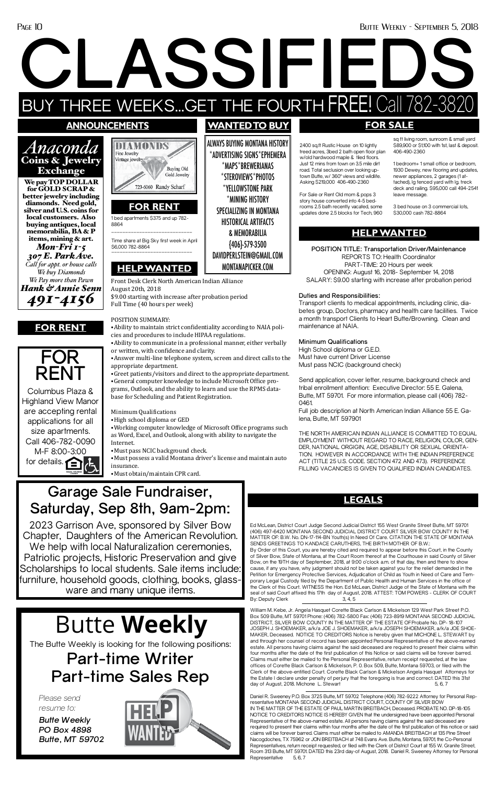#### Page 10 Butte Weekly - September 5, 2018

**CLASSIFIEDS** BUY THREE WEEKS...GET THE FOURTH FREE! Call 782-3820

### **announcements**

Exchange



diamonds. Need gold, silver and U.S. coins for local customers. Also buying antiques, local memorabilia, BA & P items, mining & art. *Mon-Fri 1-5 307 E. Park Ave. Call for appt. or house calls We buy Diamonds We Pay more than Pawn Hank & Annie Senn 491-4156*

Columbus Plaza & Highland View Manor are accepting rental applications for all size apartments. Call 406-782-0090 M-F 8:00-3:00 for details.  $\bigcap$ 

ALWAYS BUYING MONTANA HISTORY \*ADVERTISING SIGNS\*EPHEMERA \*MAPS\*BREWERIANAS \*STEROVIEWS\*PHOTOS \*YELLOWSTONE PARK \*MINING HISTORY SPECIALIZING IN MONTANA HISTORICAL ARTIFACTS & MEMORABILIA {406}-579-3500 DAVIDPERLSTEIN@GMAIL.COM MONTANAPICKER.COM

8864 \_\_\_\_\_\_\_\_\_\_\_\_\_\_\_\_\_\_\_\_\_\_\_\_\_\_\_\_\_

**FOR RENT**



# **FOR SALE**

2400 sq.ft Rustic House on 10 lightly treed acres, 3bed 2 bath open floor plan w/old hardwood maple & tiled floors. Just 12 mins from town on 3.5 mile dirt road. Total seclusion over looking uptown Butte, w/ 360° views and wildlife. Asking \$219,000 406-490-2360

For Sale or Rent Old mom & pops 3 story house converted into 4-5 bedrooms 2.5 bath recently vacated, some updates done 2.5 blocks for Tech, 960 sq ft living room, sunroom & small yard \$89,900 or \$1,100 with 1st, last & deposit. 406-490-2360

1 bedroom+ 1 small office or bedroom, 1930 Dewey, new flooring and updates, newer appliances, 2 garages (1 attached), lg fenced yard with lg. treck deck and railing. \$95,000 call 494-2541 leave message.

3 bed house on 3 commercial lots, \$30,000 cash 782-8864

The Butte Weekly is looking for the following positions: **Part-time Writer Part-time Sales Rep**

*Please send resume to:*

*Butte Weekly PO Box 4898 Butte, MT 59702*



# Butte **Weekly**



# **HELP WANTED**

**POSITION TITLE: Transportation Driver/Maintenance** REPORTS TO: Health Coordinator PART-TIME: 20 Hours per week OPENING: August 16, 2018- September 14, 2018 SALARY: \$9.00 starting with increase after probation period

#### **Duties and Responsibilities:**

Transport clients to medical appointments, including clinic, diabetes group, Doctors, pharmacy and health care facilities. Twice a month transport Clients to Heart Butte/Browning. Clean and maintenance at NAIA.

#### **Minimum Qualifications**

High School diploma or G.E.D. Must have current Driver License Must pass NCIC (background check)

porary Legal Custody filed by the Department of Public Health and Human Services in the office of the Clerk of this Court. WITNESS the Hon. Ed McLean, District Judge of the State of Montana with the seal of said Court affixed this 17th day of August, 2018. ATTEST: TOM POWERS - CLERK OF COURT By: Deputy Clerk 3, 4, 5

Send application, cover letter, resume, background check and tribal enrollment attention: Executive Director: 55 E. Galena, Butte, MT 59701. For more information, please call (406) 782- 0461.

Full job description at North American Indian Alliance 55 E. Galena, Butte, MT 597901

Daniel R. Sweeney P.O. Box 3725 Butte, MT 59702 Telephone (406) 782-9222 Attorney for Personal Representative MONTANA SECOND JUDICIAL DISTRICT COURT, COUNTY OF SILVER BOW IN THE MATTER OF THE ESTATE OF PAUL MARTIN BREITBACH, Deceased. PROBATE NO. DP-18-105 NOTICE TO CREDITORS NOTICE IS HEREBY GIVEN that the undersigned have been appointed Personal Representative of the above-named estate. All persons having claims against the said deceased are required to present their claims within four months after the date of the first publication of this notice or said claims will be forever barred. Claims must either be mailed to AMANDA BREITBACH at 135 Pine Street Nacogdoches, TX 75962 or JON BREITBACH at 748 Evans Ave. Butte, Montana, 59701 the Co-Personal Representatives, return receipt requested, or filed with the Clerk of District Court at 155 W. Granite Street, Room 313 Butte, MT 59701. DATED this 23rd day-of August, 2018. Daniel R. Sweeney Attorney for Personal Representative 5, 6, 7

THE NORTH AMERICAN INDIAN ALLIANCE IS COMMITTED TO EQUAL EMPLOYMENT WITHOUT REGARD TO RACE, RELIGION, COLOR, GEN-DER, NATIONAL ORGIGIN, AGE, DISABILITY OR SEXUAL ORIENTA-TION. HOWEVER IN ACCORDANCE WITH THE INDIAN PREFERENCE ACT (TITLE 25 U.S. CODE. SECTION 472 AND 473). PREFERENCE FILLING VACANCIES IS GIVEN TO QUALIFIED INDIAN CANDIDATES.

\$9.00 starting with increase after probation period Full Time (40 hours per week)

#### POSITION SUMMARY:

William M. Kebe, Jr. Angela Hasquet Corette Black Carlson & Mickelson 129 West Park Street P.O. Box 509 Butte, MT 59701 Phone: (406) 782-5800 Fax: (406) 723-8919 MONTANA SECOND JUDICIAL DISTRICT, SILVER BOW COUNTY IN THE MATTER OF THE ESTATE OFProbate No. DP- 18-107 JOSEPH J. SHOEMAKER, a/k/a JOE J. SHOEMAKER, a/k/a JOSEPH SHOEMAKER, a/k/a JOE SHOE-MAKER, Deceased. NOTICE TO CREDITORS Notice is hereby given that MICHONE L. STEWART by and through her counsel of record has been appointed Personal Representative of the above-named estate. All persons having claims against the said deceased are required to present their claims within four months after the date of the first publication of this Notice or said claims will be forever barred. Claims must either be mailed to the Personal Representative, return receipt requested, at the law offices of Corette Black Carlson & Mickelson, P. 0. Box 509, Butte, Montana 59703, or filed with the Clerk of the above-entitled Court. Corette Black Carlson & Mickelson Angela Hasquet Attorneys for the Estate I declare under penalty of perjury that the foregoing is true and correct. DATED this 31st day of August, 2018. Michone L. Stewart 5, 6, 7

⦁Ability to maintain strict confidentiality according to NAIA policies and procedures to include HIPAA regulations.

⦁Ability to communicate in a professional manner, either verbally or written, with confidence and clarity.

⦁Answer multi-line telephone system, screen and direct calls to the appropriate department.

⦁Greet patients/visitors and direct to the appropriate department. ⦁General computer knowledge to include Microsoft Office pro-

#### Front Desk Clerk North American Indian Alliance August 20th, 2018 **HELP WANTED**

grams, Outlook, and the ability to learn and use the RPMS database for Scheduling and Patient Registration.

Minimum Qualifications

⦁High school diploma or GED

⦁Working computer knowledge of Microsoft Office programs such as Word, Excel, and Outlook, along with ability to navigate the Internet.

⦁Must pass NCIC background check.

⦁Must possess a valid Montana driver's license and maintain auto insurance.

⦁Must obtain/maintain CPR card.

Time share at Big Sky first week in April \$6,000 782-8864 \_\_\_\_\_\_\_\_\_\_\_\_\_\_\_\_\_\_\_\_\_\_\_\_\_\_\_\_\_

> Ed McLean, District Court Judge Second Judicial District 155 West Granite Street Butte, MT 59701 (406) 497-6420 MONTANA SECOND JUDICIAL DISTRICT COURT SILVER BOW COUNTY IN THE MATTER OF: B.W. No. DN-17-114-BN Youth(s) In Need Of Care. CITATION THE STATE OF MONTANA SENDS GREETINGS TO KANDACE CARUTHERS, THE BIRTH MOTHER OF B.W.:

> By Order of this Court, you are hereby cited and required to appear before this Court, in the County of Silver Bow, State of Montana, at the Court Room thereof at the Courthouse in said County of Silver Bow, on the 19TH day of September, 2018, at 9:00 o'clock a.m. of that day, then and there to show cause, if any you have, why judgment should not be taken against you for the relief demanded in the Petition for Emergency Protective Services, Adjudication of Child as Youth in Need of Care and Tem-

# **Garage Sale Fundraiser, Saturday, Sep 8th, 9am-2pm:**

2023 Garrison Ave, sponsored by Silver Bow Chapter, Daughters of the American Revolution. We help with local Naturalization ceremonies, Patriotic projects, Historic Preservation and give Scholarships to local students. Sale items include: furniture, household goods, clothing, books, glassware and many unique items.

# **WANTEDTO BUY**

# **LEGALS**